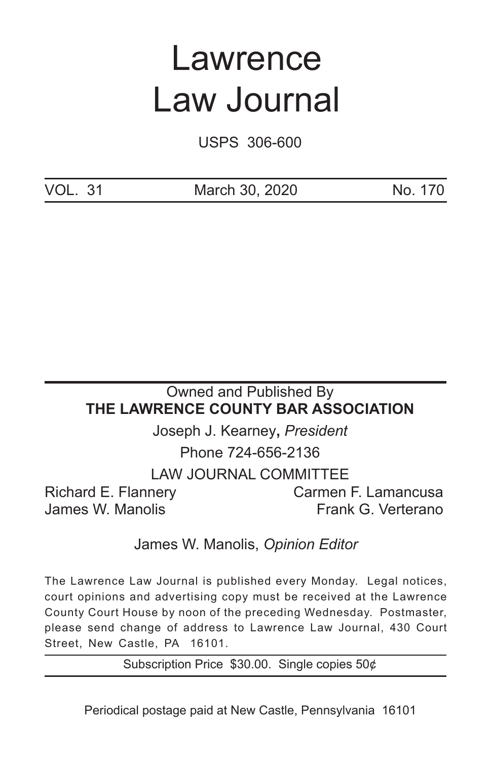# Lawrence Law Journal

USPS 306-600

VOL. 31 March 30, 2020 No. 170

# Owned and Published By **THE LAWRENCE COUNTY BAR ASSOCIATION**

Joseph J. Kearney**,** *President* Phone 724-656-2136

LAW JOURNAL COMMITTEE

Richard E. Flannery Carmen F. Lamancusa

James W. Manolis **Frank G. Verterano** 

James W. Manolis, *Opinion Editor*

The Lawrence Law Journal is published every Monday. Legal notices, court opinions and advertising copy must be received at the Lawrence County Court House by noon of the preceding Wednesday. Postmaster, please send change of address to Lawrence Law Journal, 430 Court Street, New Castle, PA 16101.

Subscription Price \$30.00. Single copies 50¢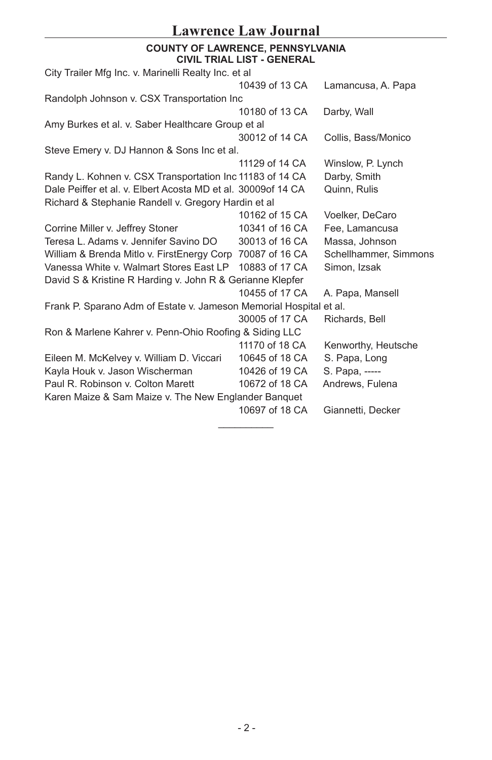## **Lawrence Law Journal**

#### **COUNTY OF LAWRENCE, PENNSYLVANIA CIVIL TRIAL LIST - GENERAL**

| City Trailer Mfg Inc. v. Marinelli Realty Inc. et al               |                |                       |
|--------------------------------------------------------------------|----------------|-----------------------|
|                                                                    | 10439 of 13 CA | Lamancusa, A. Papa    |
| Randolph Johnson v. CSX Transportation Inc                         |                |                       |
|                                                                    | 10180 of 13 CA | Darby, Wall           |
| Amy Burkes et al. v. Saber Healthcare Group et al                  |                |                       |
|                                                                    | 30012 of 14 CA | Collis, Bass/Monico   |
| Steve Emery v. DJ Hannon & Sons Inc et al.                         |                |                       |
|                                                                    | 11129 of 14 CA | Winslow, P. Lynch     |
| Randy L. Kohnen v. CSX Transportation Inc 11183 of 14 CA           |                | Darby, Smith          |
| Dale Peiffer et al. v. Elbert Acosta MD et al. 30009of 14 CA       |                | Quinn, Rulis          |
| Richard & Stephanie Randell v. Gregory Hardin et al                |                |                       |
|                                                                    | 10162 of 15 CA | Voelker, DeCaro       |
| Corrine Miller v. Jeffrey Stoner                                   | 10341 of 16 CA | Fee, Lamancusa        |
| Teresa L. Adams v. Jennifer Savino DO                              | 30013 of 16 CA | Massa, Johnson        |
| William & Brenda Mitlo v. FirstEnergy Corp 70087 of 16 CA          |                | Schellhammer, Simmons |
| Vanessa White v. Walmart Stores East LP                            | 10883 of 17 CA | Simon, Izsak          |
| David S & Kristine R Harding v. John R & Gerianne Klepfer          |                |                       |
|                                                                    | 10455 of 17 CA | A. Papa, Mansell      |
| Frank P. Sparano Adm of Estate v. Jameson Memorial Hospital et al. |                |                       |
|                                                                    | 30005 of 17 CA | Richards, Bell        |
| Ron & Marlene Kahrer v. Penn-Ohio Roofing & Siding LLC             |                |                       |
|                                                                    | 11170 of 18 CA | Kenworthy, Heutsche   |
| Eileen M. McKelvey v. William D. Viccari                           | 10645 of 18 CA | S. Papa, Long         |
| Kayla Houk v. Jason Wischerman                                     | 10426 of 19 CA | S. Papa, -----        |
| Paul R. Robinson v. Colton Marett                                  | 10672 of 18 CA | Andrews, Fulena       |
| Karen Maize & Sam Maize v. The New Englander Banquet               |                |                       |
|                                                                    | 10697 of 18 CA | Giannetti, Decker     |
|                                                                    |                |                       |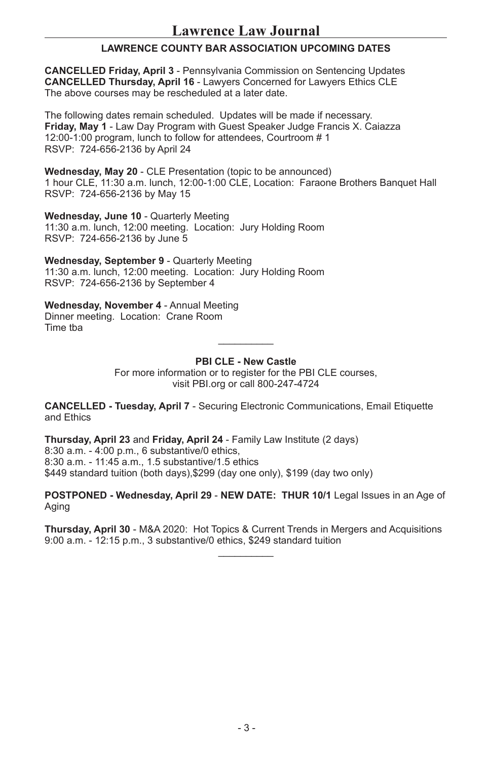#### **LAWRENCE COUNTY BAR ASSOCIATION UPCOMING DATES**

**CANCELLED Friday, April 3** - Pennsylvania Commission on Sentencing Updates **CANCELLED Thursday, April 16** - Lawyers Concerned for Lawyers Ethics CLE The above courses may be rescheduled at a later date.

The following dates remain scheduled. Updates will be made if necessary. **Friday, May 1** - Law Day Program with Guest Speaker Judge Francis X. Caiazza 12:00-1:00 program, lunch to follow for attendees, Courtroom # 1 RSVP: 724-656-2136 by April 24

**Wednesday, May 20** - CLE Presentation (topic to be announced) 1 hour CLE, 11:30 a.m. lunch, 12:00-1:00 CLE, Location: Faraone Brothers Banquet Hall RSVP: 724-656-2136 by May 15

**Wednesday, June 10** - Quarterly Meeting 11:30 a.m. lunch, 12:00 meeting. Location: Jury Holding Room RSVP: 724-656-2136 by June 5

**Wednesday, September 9** - Quarterly Meeting 11:30 a.m. lunch, 12:00 meeting. Location: Jury Holding Room RSVP: 724-656-2136 by September 4

**Wednesday, November 4** - Annual Meeting Dinner meeting. Location: Crane Room Time tba  $\mathcal{L}$  and  $\mathcal{L}$ 

#### **PBI CLE - New Castle**

For more information or to register for the PBI CLE courses. visit PBI.org or call 800-247-4724

**CANCELLED - Tuesday, April 7** - Securing Electronic Communications, Email Etiquette and Ethics

**Thursday, April 23** and **Friday, April 24** - Family Law Institute (2 days) 8:30 a.m. - 4:00 p.m., 6 substantive/0 ethics, 8:30 a.m. - 11:45 a.m., 1.5 substantive/1.5 ethics \$449 standard tuition (both days),\$299 (day one only), \$199 (day two only)

**POSTPONED - Wednesday, April 29** - **NEW DATE: THUR 10/1** Legal Issues in an Age of Aging

**Thursday, April 30** - M&A 2020: Hot Topics & Current Trends in Mergers and Acquisitions 9:00 a.m. - 12:15 p.m., 3 substantive/0 ethics, \$249 standard tuition  $\mathcal{L}$  and  $\mathcal{L}$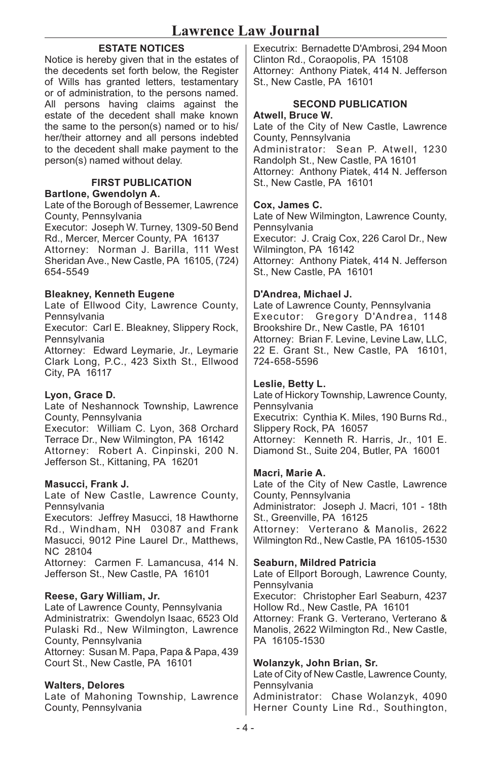#### **ESTATE NOTICES**

Notice is hereby given that in the estates of the decedents set forth below, the Register of Wills has granted letters, testamentary or of administration, to the persons named. All persons having claims against the estate of the decedent shall make known the same to the person(s) named or to his/ her/their attorney and all persons indebted to the decedent shall make payment to the person(s) named without delay.

#### **FIRST PUBLICATION Bartlone, Gwendolyn A.**

Late of the Borough of Bessemer, Lawrence County, Pennsylvania

Executor: Joseph W. Turney, 1309-50 Bend Rd., Mercer, Mercer County, PA 16137 Attorney: Norman J. Barilla, 111 West Sheridan Ave., New Castle, PA 16105, (724) 654-5549

#### **Bleakney, Kenneth Eugene**

Late of Ellwood City, Lawrence County, Pennsylvania

Executor: Carl E. Bleakney, Slippery Rock, Pennsylvania

Attorney: Edward Leymarie, Jr., Leymarie Clark Long, P.C., 423 Sixth St., Ellwood City, PA 16117

#### **Lyon, Grace D.**

Late of Neshannock Township, Lawrence County, Pennsylvania Executor: William C. Lyon, 368 Orchard Terrace Dr., New Wilmington, PA 16142 Attorney: Robert A. Cinpinski, 200 N. Jefferson St., Kittaning, PA 16201

#### **Masucci, Frank J.**

Late of New Castle, Lawrence County, Pennsylvania Executors: Jeffrey Masucci, 18 Hawthorne Rd., Windham, NH 03087 and Frank Masucci, 9012 Pine Laurel Dr., Matthews, NC 28104

Attorney: Carmen F. Lamancusa, 414 N. Jefferson St., New Castle, PA 16101

#### **Reese, Gary William, Jr.**

Late of Lawrence County, Pennsylvania Administratrix: Gwendolyn Isaac, 6523 Old Pulaski Rd., New Wilmington, Lawrence County, Pennsylvania Attorney: Susan M. Papa, Papa & Papa, 439 Court St., New Castle, PA 16101

#### **Walters, Delores**

Late of Mahoning Township, Lawrence County, Pennsylvania

Executrix: Bernadette D'Ambrosi, 294 Moon Clinton Rd., Coraopolis, PA 15108 Attorney: Anthony Piatek, 414 N. Jefferson St., New Castle, PA 16101

#### **SECOND PUBLICATION Atwell, Bruce W.**

Late of the City of New Castle, Lawrence County, Pennsylvania Administrator: Sean P. Atwell, 1230 Randolph St., New Castle, PA 16101 Attorney: Anthony Piatek, 414 N. Jefferson St., New Castle, PA 16101

#### **Cox, James C.**

Late of New Wilmington, Lawrence County, **Pennsylvania** Executor: J. Craig Cox, 226 Carol Dr., New Wilmington, PA 16142 Attorney: Anthony Piatek, 414 N. Jefferson St., New Castle, PA 16101

#### **D'Andrea, Michael J.**

Late of Lawrence County, Pennsylvania Executor: Gregory D'Andrea, 1148 Brookshire Dr., New Castle, PA 16101 Attorney: Brian F. Levine, Levine Law, LLC, 22 E. Grant St., New Castle, PA 16101, 724-658-5596

#### **Leslie, Betty L.**

Late of Hickory Township, Lawrence County, Pennsylvania Executrix: Cynthia K. Miles, 190 Burns Rd., Slippery Rock, PA 16057 Attorney: Kenneth R. Harris, Jr., 101 E. Diamond St., Suite 204, Butler, PA 16001

#### **Macri, Marie A.**

Late of the City of New Castle, Lawrence County, Pennsylvania Administrator: Joseph J. Macri, 101 - 18th St., Greenville, PA 16125 Attorney: Verterano & Manolis, 2622 Wilmington Rd., New Castle, PA 16105-1530

#### **Seaburn, Mildred Patricia**

Late of Ellport Borough, Lawrence County, Pennsylvania Executor: Christopher Earl Seaburn, 4237 Hollow Rd., New Castle, PA 16101 Attorney: Frank G. Verterano, Verterano & Manolis, 2622 Wilmington Rd., New Castle, PA 16105-1530

#### **Wolanzyk, John Brian, Sr.**

Late of City of New Castle, Lawrence County, Pennsylvania Administrator: Chase Wolanzyk, 4090

Herner County Line Rd., Southington,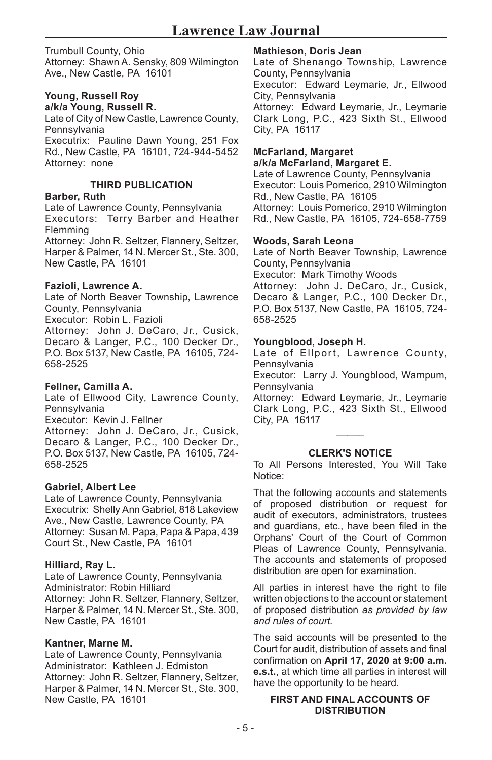Trumbull County, Ohio Attorney: Shawn A. Sensky, 809 Wilmington Ave., New Castle, PA 16101

### **Young, Russell Roy**

**a/k/a Young, Russell R.** Late of City of New Castle, Lawrence County, Pennsylvania Executrix: Pauline Dawn Young, 251 Fox Rd., New Castle, PA 16101, 724-944-5452 Attorney: none

#### **THIRD PUBLICATION**

#### **Barber, Ruth**

Late of Lawrence County, Pennsylvania Executors: Terry Barber and Heather Flemming Attorney: John R. Seltzer, Flannery, Seltzer, Harper & Palmer, 14 N. Mercer St., Ste. 300, New Castle, PA 16101

#### **Fazioli, Lawrence A.**

Late of North Beaver Township, Lawrence County, Pennsylvania Executor: Robin L. Fazioli Attorney: John J. DeCaro, Jr., Cusick, Decaro & Langer, P.C., 100 Decker Dr., P.O. Box 5137, New Castle, PA 16105, 724- 658-2525

#### **Fellner, Camilla A.**

Late of Ellwood City, Lawrence County, Pennsylvania Executor: Kevin J. Fellner Attorney: John J. DeCaro, Jr., Cusick, Decaro & Langer, P.C., 100 Decker Dr., P.O. Box 5137, New Castle, PA 16105, 724- 658-2525

#### **Gabriel, Albert Lee**

Late of Lawrence County, Pennsylvania Executrix: Shelly Ann Gabriel, 818 Lakeview Ave., New Castle, Lawrence County, PA Attorney: Susan M. Papa, Papa & Papa, 439 Court St., New Castle, PA 16101

#### **Hilliard, Ray L.**

Late of Lawrence County, Pennsylvania Administrator: Robin Hilliard Attorney: John R. Seltzer, Flannery, Seltzer, Harper & Palmer, 14 N. Mercer St., Ste. 300, New Castle, PA 16101

#### **Kantner, Marne M.**

Late of Lawrence County, Pennsylvania Administrator: Kathleen J. Edmiston Attorney: John R. Seltzer, Flannery, Seltzer, Harper & Palmer, 14 N. Mercer St., Ste. 300, New Castle, PA 16101

#### **Mathieson, Doris Jean**

Late of Shenango Township, Lawrence County, Pennsylvania Executor: Edward Leymarie, Jr., Ellwood City, Pennsylvania

Attorney: Edward Leymarie, Jr., Leymarie Clark Long, P.C., 423 Sixth St., Ellwood City, PA 16117

#### **McFarland, Margaret a/k/a McFarland, Margaret E.**

Late of Lawrence County, Pennsylvania Executor: Louis Pomerico, 2910 Wilmington Rd., New Castle, PA 16105 Attorney: Louis Pomerico, 2910 Wilmington Rd., New Castle, PA 16105, 724-658-7759

#### **Woods, Sarah Leona**

Late of North Beaver Township, Lawrence County, Pennsylvania Executor: Mark Timothy Woods Attorney: John J. DeCaro, Jr., Cusick, Decaro & Langer, P.C., 100 Decker Dr., P.O. Box 5137, New Castle, PA 16105, 724- 658-2525

#### **Youngblood, Joseph H.**

Late of Ellport, Lawrence County, Pennsylvania Executor: Larry J. Youngblood, Wampum,

Pennsylvania

Attorney: Edward Leymarie, Jr., Leymarie Clark Long, P.C., 423 Sixth St., Ellwood City, PA 16117

## $\overline{\phantom{a}}$ **CLERK'S NOTICE**

To All Persons Interested, You Will Take Notice:

That the following accounts and statements of proposed distribution or request for audit of executors, administrators, trustees and guardians, etc., have been filed in the Orphans' Court of the Court of Common Pleas of Lawrence County, Pennsylvania. The accounts and statements of proposed distribution are open for examination.

All parties in interest have the right to file written objections to the account or statement of proposed distribution *as provided by law and rules of court.*

The said accounts will be presented to the Court for audit, distribution of assets and final confirmation on **April 17, 2020 at 9:00 a.m. e.s.t.**, at which time all parties in interest will have the opportunity to be heard.

#### **FIRST AND FINAL ACCOUNTS OF DISTRIBUTION**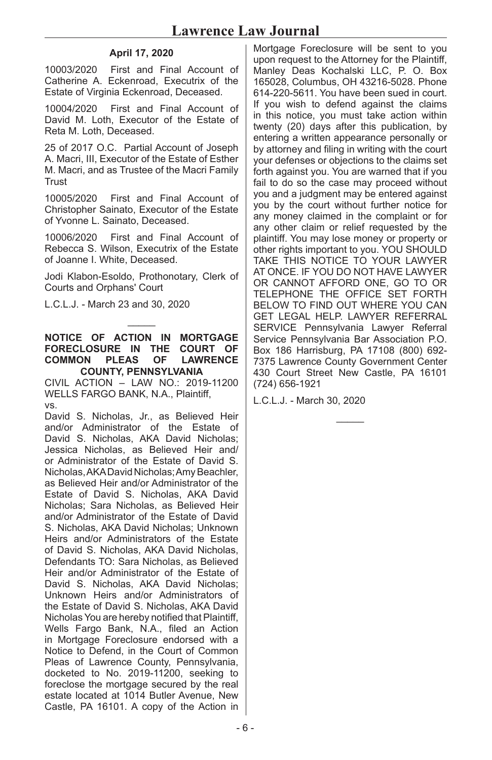#### **April 17, 2020**

10003/2020 First and Final Account of Catherine A. Eckenroad, Executrix of the Estate of Virginia Eckenroad, Deceased.

10004/2020 First and Final Account of David M. Loth, Executor of the Estate of Reta M. Loth, Deceased.

25 of 2017 O.C. Partial Account of Joseph A. Macri, III, Executor of the Estate of Esther M. Macri, and as Trustee of the Macri Family Trust

10005/2020 First and Final Account of Christopher Sainato, Executor of the Estate of Yvonne L. Sainato, Deceased.

10006/2020 First and Final Account of Rebecca S. Wilson, Executrix of the Estate of Joanne I. White, Deceased.

Jodi Klabon-Esoldo, Prothonotary, Clerk of Courts and Orphans' Court

L.C.L.J. - March 23 and 30, 2020

**NOTICE OF ACTION IN MORTGAGE FORECLOSURE IN THE COURT OF LAWRENCE COUNTY, PENNSYLVANIA** 

 $\overline{\phantom{a}}$ 

CIVIL ACTION – LAW NO.: 2019-11200 WELLS FARGO BANK, N.A., Plaintiff, vs.

David S. Nicholas, Jr., as Believed Heir and/or Administrator of the Estate of David S. Nicholas, AKA David Nicholas; Jessica Nicholas, as Believed Heir and/ or Administrator of the Estate of David S. Nicholas, AKA David Nicholas; Amy Beachler, as Believed Heir and/or Administrator of the Estate of David S. Nicholas, AKA David Nicholas; Sara Nicholas, as Believed Heir and/or Administrator of the Estate of David S. Nicholas, AKA David Nicholas; Unknown Heirs and/or Administrators of the Estate of David S. Nicholas, AKA David Nicholas, Defendants TO: Sara Nicholas, as Believed Heir and/or Administrator of the Estate of David S. Nicholas, AKA David Nicholas; Unknown Heirs and/or Administrators of the Estate of David S. Nicholas, AKA David Nicholas You are hereby notified that Plaintiff, Wells Fargo Bank, N.A., filed an Action in Mortgage Foreclosure endorsed with a Notice to Defend, in the Court of Common Pleas of Lawrence County, Pennsylvania, docketed to No. 2019-11200, seeking to foreclose the mortgage secured by the real estate located at 1014 Butler Avenue, New Castle, PA 16101. A copy of the Action in

Mortgage Foreclosure will be sent to you upon request to the Attorney for the Plaintiff, Manley Deas Kochalski LLC, P. O. Box 165028, Columbus, OH 43216-5028. Phone 614-220-5611. You have been sued in court. If you wish to defend against the claims in this notice, you must take action within twenty (20) days after this publication, by entering a written appearance personally or by attorney and filing in writing with the court your defenses or objections to the claims set forth against you. You are warned that if you fail to do so the case may proceed without you and a judgment may be entered against you by the court without further notice for any money claimed in the complaint or for any other claim or relief requested by the plaintiff. You may lose money or property or other rights important to you. YOU SHOULD TAKE THIS NOTICE TO YOUR LAWYER AT ONCE. IF YOU DO NOT HAVE LAWYER OR CANNOT AFFORD ONE, GO TO OR TELEPHONE THE OFFICE SET FORTH BELOW TO FIND OUT WHERE YOU CAN GET LEGAL HELP. LAWYER REFERRAL SERVICE Pennsylvania Lawyer Referral Service Pennsylvania Bar Association P.O. Box 186 Harrisburg, PA 17108 (800) 692- 7375 Lawrence County Government Center 430 Court Street New Castle, PA 16101 (724) 656-1921

L.C.L.J. - March 30, 2020

 $\mathcal{L}$